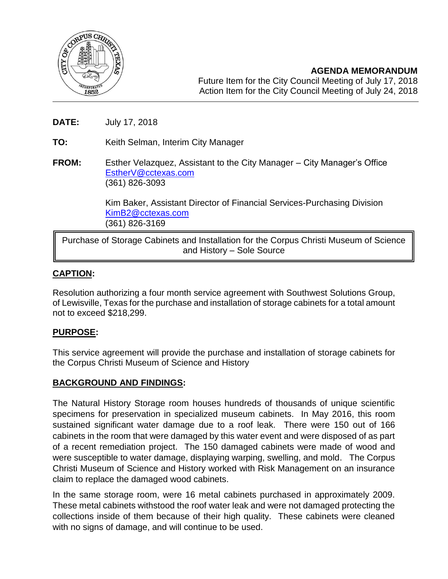

- **DATE:** July 17, 2018
- **TO:** Keith Selman, Interim City Manager
- **FROM:** Esther Velazquez, Assistant to the City Manager City Manager's Office [EstherV@cctexas.com](mailto:EstherV@cctexas.com) (361) 826-3093

Kim Baker, Assistant Director of Financial Services-Purchasing Division [KimB2@cctexas.com](mailto:KimB2@cctexas.com) (361) 826-3169

Purchase of Storage Cabinets and Installation for the Corpus Christi Museum of Science and History – Sole Source

# **CAPTION:**

I

Resolution authorizing a four month service agreement with Southwest Solutions Group, of Lewisville, Texas for the purchase and installation of storage cabinets for a total amount not to exceed \$218,299.

## **PURPOSE:**

This service agreement will provide the purchase and installation of storage cabinets for the Corpus Christi Museum of Science and History

## **BACKGROUND AND FINDINGS:**

The Natural History Storage room houses hundreds of thousands of unique scientific specimens for preservation in specialized museum cabinets. In May 2016, this room sustained significant water damage due to a roof leak. There were 150 out of 166 cabinets in the room that were damaged by this water event and were disposed of as part of a recent remediation project. The 150 damaged cabinets were made of wood and were susceptible to water damage, displaying warping, swelling, and mold. The Corpus Christi Museum of Science and History worked with Risk Management on an insurance claim to replace the damaged wood cabinets.

In the same storage room, were 16 metal cabinets purchased in approximately 2009. These metal cabinets withstood the roof water leak and were not damaged protecting the collections inside of them because of their high quality. These cabinets were cleaned with no signs of damage, and will continue to be used.